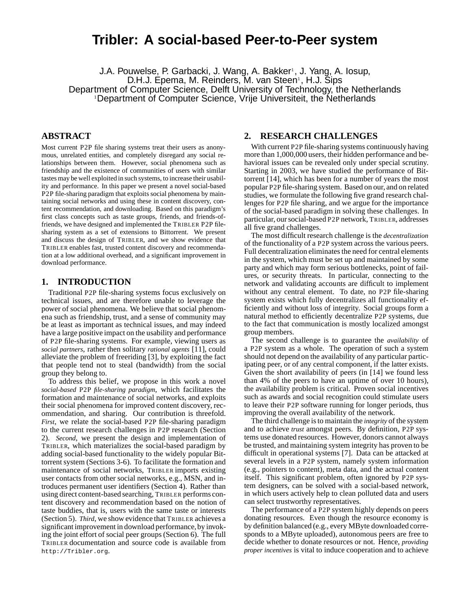# **Tribler: A social-based Peer-to-Peer system**

J.A. Pouwelse, P. Garbacki, J. Wang, A. Bakker<sup>1</sup>, J. Yang, A. Iosup, D.H.J. Epema, M. Reinders, M. van Steen<sup>1</sup>, H.J. Sips Department of Computer Science, Delft University of Technology, the Netherlands <sup>1</sup>Department of Computer Science, Vrije Universiteit, the Netherlands

# **ABSTRACT**

Most current P2P file sharing systems treat their users as anonymous, unrelated entities, and completely disregard any social relationships between them. However, social phenomena such as friendship and the existence of communities of users with similar tastes may be well exploited in such systems, to increase their usability and performance. In this paper we present a novel social-based P2P file-sharing paradigm that exploits social phenomena by maintaining social networks and using these in content discovery, content recommendation, and downloading. Based on this paradigm's first class concepts such as taste groups, friends, and friends-offriends, we have designed and implemented the TRIBLER P2P filesharing system as a set of extensions to Bittorrent. We present and discuss the design of TRIBLER, and we show evidence that TRIBLER enables fast, trusted content discovery and recommendation at a low additional overhead, and a significant improvement in download performance.

#### **1. INTRODUCTION**

Traditional P2P file-sharing systems focus exclusively on technical issues, and are therefore unable to leverage the power of social phenomena. We believe that social phenomena such as friendship, trust, and a sense of community may be at least as important as technical issues, and may indeed have a large positive impact on the usability and performance of P2P file-sharing systems. For example, viewing users as *social partners*, rather then solitary *rational agents* [11], could alleviate the problem of freeriding [3], by exploiting the fact that people tend not to steal (bandwidth) from the social group they belong to.

To address this belief, we propose in this work a novel *social-based* P2P *file-sharing paradigm*, which facilitates the formation and maintenance of social networks, and exploits their social phenomena for improved content discovery, recommendation, and sharing. Our contribution is threefold. *First*, we relate the social-based P2P file-sharing paradigm to the current research challenges in P2P research (Section 2). *Second*, we present the design and implementation of TRIBLER, which materializes the social-based paradigm by adding social-based functionality to the widely popular Bittorrent system (Sections 3-6). To facilitate the formation and maintenance of social networks, TRIBLER imports existing user contacts from other social networks, e.g., MSN, and introduces permanent user identifiers (Section 4). Rather than using direct content-based searching, TRIBLER performs content discovery and recommendation based on the notion of taste buddies, that is, users with the same taste or interests (Section 5). *Third*, we show evidence that TRIBLER achieves a significant improvement in download performance, by invoking the joint effort of social peer groups (Section 6). The full TRIBLER documentation and source code is available from http://Tribler.org.

## **2. RESEARCH CHALLENGES**

With current P2P file-sharing systems continuously having more than 1,000,000 users, their hidden performance and behavioral issues can be revealed only under special scrutiny. Starting in 2003, we have studied the performance of Bittorrent [14], which has been for a number of years the most popular P2P file-sharing system. Based on our, and on related studies, we formulate the following five grand research challenges for P2P file sharing, and we argue for the importance of the social-based paradigm in solving these challenges. In particular, our social-based P2P network, TRIBLER, addresses all five grand challenges.

The most difficult research challenge is the *decentralization* of the functionality of a P2P system across the various peers. Full decentralization eliminates the need for central elements in the system, which must be set up and maintained by some party and which may form serious bottlenecks, point of failures, or security threats. In particular, connecting to the network and validating accounts are difficult to implement without any central element. To date, no P2P file-sharing system exists which fully decentralizes all functionality efficiently and without loss of integrity. Social groups form a natural method to efficiently decentralize P2P systems, due to the fact that communication is mostly localized amongst group members.

The second challenge is to guarantee the *availability* of a P2P system as a whole. The operation of such a system should not depend on the availability of any particular participating peer, or of any central component, if the latter exists. Given the short availability of peers (in [14] we found less than 4% of the peers to have an uptime of over 10 hours), the availability problem is critical. Proven social incentives such as awards and social recognition could stimulate users to leave their P2P software running for longer periods, thus improving the overall availability of the network.

The third challenge is to maintain the *integrity* of the system and to achieve *trust* amongst peers. By definition, P2P systems use donated resources. However, donors cannot always be trusted, and maintaining system integrity has proven to be difficult in operational systems [7]. Data can be attacked at several levels in a P2P system, namely system information (e.g., pointers to content), meta data, and the actual content itself. This significant problem, often ignored by P2P system designers, can be solved with a social-based network, in which users actively help to clean polluted data and users can select trustworthy representatives.

The performance of a P2P system highly depends on peers donating resources. Even though the resource economy is by definition balanced (e.g., every MByte downloaded corresponds to a MByte uploaded), autonomous peers are free to decide whether to donate resources or not. Hence, *providing proper incentives* is vital to induce cooperation and to achieve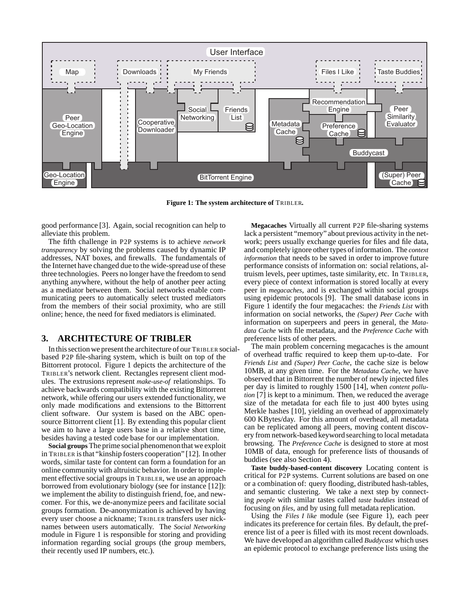

**Figure 1: The system architecture of** TRIBLER**.**

good performance [3]. Again, social recognition can help to alleviate this problem.

The fifth challenge in P2P systems is to achieve *network transparency* by solving the problems caused by dynamic IP addresses, NAT boxes, and firewalls. The fundamentals of the Internet have changed due to the wide-spread use of these three technologies. Peers no longer have the freedom to send anything anywhere, without the help of another peer acting as a mediator between them. Social networks enable communicating peers to automatically select trusted mediators from the members of their social proximity, who are still online; hence, the need for fixed mediators is eliminated.

## **3. ARCHITECTURE OF TRIBLER**

In this section we present the architecture of our TRIBLER socialbased P2P file-sharing system, which is built on top of the Bittorrent protocol. Figure 1 depicts the architecture of the TRIBLER's network client. Rectangles represent client modules. The extrusions represent *make-use-of* relationships. To achieve backwards compatibility with the existing Bittorrent network, while offering our users extended functionality, we only made modifications and extensions to the Bittorrent client software. Our system is based on the ABC opensource Bittorrent client [1]. By extending this popular client we aim to have a large users base in a relative short time, besides having a tested code base for our implementation.

**Social groups** The prime social phenomenonthat we exploit in TRIBLER is that "kinship fosters cooperation" [12]. In other words, similar taste for content can form a foundation for an online community with altruistic behavior. In order to implement effective social groups in TRIBLER, we use an approach borrowed from evolutionary biology (see for instance [12]): we implement the ability to distinguish friend, foe, and newcomer. For this, we de-anonymize peers and facilitate social groups formation. De-anonymization is achieved by having every user choose a nickname; TRIBLER transfers user nicknames between users automatically. The *Social Networking* module in Figure 1 is responsible for storing and providing information regarding social groups (the group members, their recently used IP numbers, etc.).

**Megacaches** Virtually all current P2P file-sharing systems lack a persistent "memory" about previous activity in the network; peers usually exchange queries for files and file data, and completely ignore other types of information. The *context information* that needs to be saved in order to improve future performance consists of information on: social relations, altruism levels, peer uptimes, taste similarity, etc. In TRIBLER, every piece of context information is stored locally at every peer in *megacaches*, and is exchanged within social groups using epidemic protocols [9]. The small database icons in Figure 1 identify the four megacaches: the *Friends List* with information on social networks, the *(Super) Peer Cache* with information on superpeers and peers in general, the *Matadata Cache* with file metadata, and the *Preference Cache* with preference lists of other peers.

The main problem concerning megacaches is the amount of overhead traffic required to keep them up-to-date. For *Friends List* and *(Super) Peer Cache*, the cache size is below 10MB, at any given time. For the *Metadata Cache*, we have observed that in Bittorrent the number of newly injected files per day is limited to roughly 1500 [14], when *content pollution* [7] is kept to a minimum. Then, we reduced the average size of the metadata for each file to just 400 bytes using Merkle hashes [10], yielding an overhead of approximately 600 KBytes/day. For this amount of overhead, all metadata can be replicated among all peers, moving content discovery from network-based keyword searching to local metadata browsing. The *Preference Cache* is designed to store at most 10MB of data, enough for preference lists of thousands of buddies (see also Section 4).

**Taste buddy-based-content discovery** Locating content is critical for P2P systems. Current solutions are based on one or a combination of: query flooding, distributed hash-tables, and semantic clustering. We take a next step by connecting *people* with similar tastes called *taste buddies* instead of focusing on *files*, and by using full metadata replication.

Using the *Files I like* module (see Figure 1), each peer indicates its preference for certain files. By default, the preference list of a peer is filled with its most recent downloads. We have developed an algorithm called *Buddycast* which uses an epidemic protocol to exchange preference lists using the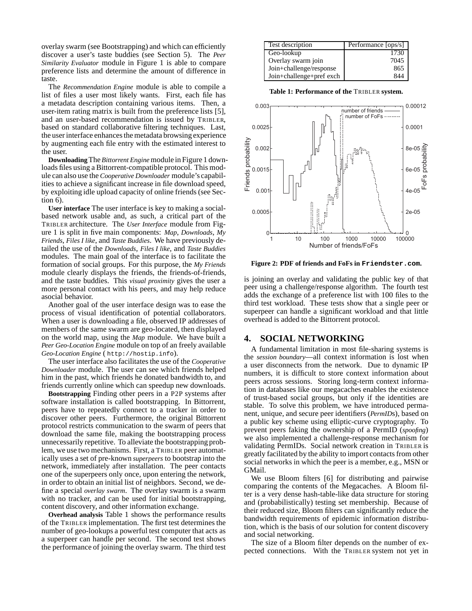overlay swarm (see Bootstrapping) and which can efficiently discover a user's taste buddies (see Section 5). The *Peer Similarity Evaluator* module in Figure 1 is able to compare preference lists and determine the amount of difference in taste.

The *Recommendation Engine* module is able to compile a list of files a user most likely wants. First, each file has a metadata description containing various items. Then, a user-item rating matrix is built from the preference lists [5], and an user-based recommendation is issued by TRIBLER, based on standard collaborative filtering techniques. Last, the user interface enhances the metadata browsing experience by augmenting each file entry with the estimated interest to the user.

**Downloading** The *Bittorrent Engine* module in Figure 1 downloads files using a Bittorrent-compatible protocol. This module can also use the *Cooperative Downloader* module's capabilities to achieve a significant increase in file download speed, by exploiting idle upload capacity of online friends (see Section 6).

**User interface** The user interface is key to making a socialbased network usable and, as such, a critical part of the TRIBLER architecture. The *User Interface* module from Figure 1 is split in five main components: *Map*, *Downloads*, *My Friends*, *Files I like*, and *Taste Buddies*. We have previously detailed the use of the *Downloads*, *Files I like*, and *Taste Buddies* modules. The main goal of the interface is to facilitate the formation of social groups. For this purpose, the *My Friends* module clearly displays the friends, the friends-of-friends, and the taste buddies. This *visual proximity* gives the user a more personal contact with his peers, and may help reduce asocial behavior.

Another goal of the user interface design was to ease the process of visual identification of potential collaborators. When a user is downloading a file, observed IP addresses of members of the same swarm are geo-located, then displayed on the world map, using the *Map* module. We have built a *Peer Geo-Location Engine* module on top of an freely available *Geo-Location Engine* ( http://hostip.info).

The user interface also facilitates the use of the *Cooperative Downloader* module. The user can see which friends helped him in the past, which friends he donated bandwidth to, and friends currently online which can speedup new downloads.

**Bootstrapping** Finding other peers in a P2P systems after software installation is called bootstrapping. In Bittorrent, peers have to repeatedly connect to a tracker in order to discover other peers. Furthermore, the original Bittorrent protocol restricts communication to the swarm of peers that download the same file, making the bootstrapping process unnecessarily repetitive. To alleviate the bootstrapping problem, we use two mechanisms. First, a TRIBLER peer automatically uses a set of pre-known *superpeers* to bootstrap into the network, immediately after installation. The peer contacts one of the superpeers only once, upon entering the network, in order to obtain an initial list of neighbors. Second, we define a special *overlay swarm*. The overlay swarm is a swarm with no tracker, and can be used for initial bootstrapping, content discovery, and other information exchange.

**Overhead analysis** Table 1 shows the performance results of the TRIBLER implementation. The first test determines the number of geo-lookups a powerful test computer that acts as a superpeer can handle per second. The second test shows the performance of joining the overlay swarm. The third test

| Test description         | Performance [ops/s] |
|--------------------------|---------------------|
| Geo-lookup               | 1730                |
| Overlay swarm join       | 7045                |
| Join+challenge/response  | 865                 |
| Join+challenge+pref exch | 844                 |

**Table 1: Performance of the** TRIBLER **system.**



**Figure 2: PDF of friends and FoFs in Friendster.com.**

is joining an overlay and validating the public key of that peer using a challenge/response algorithm. The fourth test adds the exchange of a preference list with 100 files to the third test workload. These tests show that a single peer or superpeer can handle a significant workload and that little overhead is added to the Bittorrent protocol.

# **4. SOCIAL NETWORKING**

A fundamental limitation in most file-sharing systems is the *session boundary*—all context information is lost when a user disconnects from the network. Due to dynamic IP numbers, it is difficult to store context information about peers across sessions. Storing long-term context information in databases like our megacaches enables the existence of trust-based social groups, but only if the identities are stable. To solve this problem, we have introduced permanent, unique, and secure peer identifiers (*PermID*s), based on a public key scheme using elliptic-curve cryptography. To prevent peers faking the ownership of a PermID (*spoofing*) we also implemented a challenge-response mechanism for validating PermIDs. Social network creation in TRIBLER is greatly facilitated by the ability to import contacts from other social networks in which the peer is a member, e.g., MSN or GMail.

We use Bloom filters [6] for distributing and pairwise comparing the contents of the Megacaches. A Bloom filter is a very dense hash-table-like data structure for storing and (probabilistically) testing set membership. Because of their reduced size, Bloom filters can significantly reduce the bandwidth requirements of epidemic information distribution, which is the basis of our solution for content discovery and social networking.

The size of a Bloom filter depends on the number of expected connections. With the TRIBLER system not yet in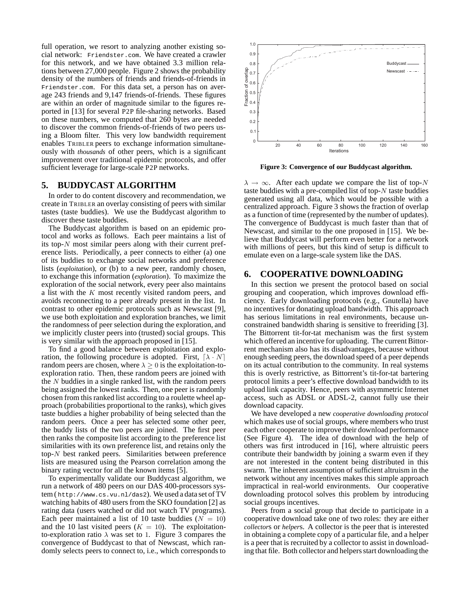full operation, we resort to analyzing another existing social network: Friendster.com. We have created a crawler for this network, and we have obtained 3.3 million relations between 27,000 people. Figure 2 shows the probability density of the numbers of friends and friends-of-friends in Friendster.com. For this data set, a person has on average 243 friends and 9,147 friends-of-friends. These figures are within an order of magnitude similar to the figures reported in [13] for several P2P file-sharing networks. Based on these numbers, we computed that 260 bytes are needed to discover the common friends-of-friends of two peers using a Bloom filter. This very low bandwidth requirement enables TRIBLER peers to exchange information simultaneously with *thousands* of other peers, which is a significant improvement over traditional epidemic protocols, and offer sufficient leverage for large-scale P2P networks.

## **5. BUDDYCAST ALGORITHM**

In order to do content discovery and recommendation, we create in TRIBLER an overlay consisting of peers with similar tastes (taste buddies). We use the Buddycast algorithm to discover these taste buddies.

The Buddycast algorithm is based on an epidemic protocol and works as follows. Each peer maintains a list of its top-N most similar peers along with their current preference lists. Periodically, a peer connects to either (a) one of its buddies to exchange social networks and preference lists *(exploitation)*, or *(b)* to a new peer, randomly chosen, to exchange this information (*exploration*). To maximize the exploration of the social network, every peer also maintains a list with the K most recently visited random peers, and avoids reconnecting to a peer already present in the list. In contrast to other epidemic protocols such as Newscast [9], we use both exploitation and exploration branches, we limit the randomness of peer selection during the exploration, and we implicitly cluster peers into (trusted) social groups. This is very similar with the approach proposed in [15].

To find a good balance between exploitation and exploration, the following procedure is adopted. First,  $[\lambda \cdot N]$ random peers are chosen, where  $\lambda \geq 0$  is the exploitation-toexploration ratio. Then, these random peers are joined with the  $N$  buddies in a single ranked list, with the random peers being assigned the lowest ranks. Then, one peer is randomly chosen from this ranked list according to a roulette wheel approach (probabilities proportional to the ranks), which gives taste buddies a higher probability of being selected than the random peers. Once a peer has selected some other peer, the buddy lists of the two peers are joined. The first peer then ranks the composite list according to the preference list similarities with its own preference list, and retains only the top-N best ranked peers. Similarities between preference lists are measured using the Pearson correlation among the binary rating vector for all the known items [5].

To experimentally validate our Buddycast algorithm, we run a network of 480 peers on our DAS 400-processors system ( http://www.cs.vu.nl/das2). We used a data set of TV watching habits of 480 users from the SKO foundation [2] as rating data (users watched or did not watch TV programs). Each peer maintained a list of 10 taste buddies ( $N = 10$ ) and the 10 last visited peers ( $K = 10$ ). The exploitationto-exploration ratio  $\lambda$  was set to 1. Figure 3 compares the convergence of Buddycast to that of Newscast, which randomly selects peers to connect to, i.e., which corresponds to



**Figure 3: Convergence of our Buddycast algorithm.**

 $\lambda \to \infty$ . After each update we compare the list of top-N taste buddies with a pre-compiled list of top- $N$  taste buddies generated using all data, which would be possible with a centralized approach. Figure 3 shows the fraction of overlap as a function of time (represented by the number of updates). The convergence of Buddycast is much faster than that of Newscast, and similar to the one proposed in [15]. We believe that Buddycast will perform even better for a network with millions of peers, but this kind of setup is difficult to emulate even on a large-scale system like the DAS.

#### **6. COOPERATIVE DOWNLOADING**

In this section we present the protocol based on social grouping and cooperation, which improves download efficiency. Early downloading protocols (e.g., Gnutella) have no incentives for donating upload bandwidth. This approach has serious limitations in real environments, because unconstrained bandwidth sharing is sensitive to freeriding [3]. The Bittorrent tit-for-tat mechanism was the first system which offered an incentive for uploading. The current Bittorrent mechanism also has its disadvantages, because without enough seeding peers, the download speed of a peer depends on its actual contribution to the community. In real systems this is overly restrictive, as Bittorrent's tit-for-tat bartering protocol limits a peer's effective download bandwidth to its upload link capacity. Hence, peers with asymmetric Internet access, such as ADSL or ADSL-2, cannot fully use their download capacity.

We have developed a new *cooperative downloading protocol* which makes use of social groups, where members who trust each other cooperate to improve their download performance (See Figure 4). The idea of download with the help of others was first introduced in [16], where altruistic peers contribute their bandwidth by joining a swarm even if they are not interested in the content being distributed in this swarm. The inherent assumption of sufficient altruism in the network without any incentives makes this simple approach impractical in real-world environments. Our cooperative downloading protocol solves this problem by introducing social groups incentives.

Peers from a social group that decide to participate in a cooperative download take one of two roles: they are either *collector*s or *helper*s. A collector is the peer that is interested in obtaining a complete copy of a particular file, and a helper is a peer that is recruited by a collector to assist in downloading that file. Both collector and helpers start downloading the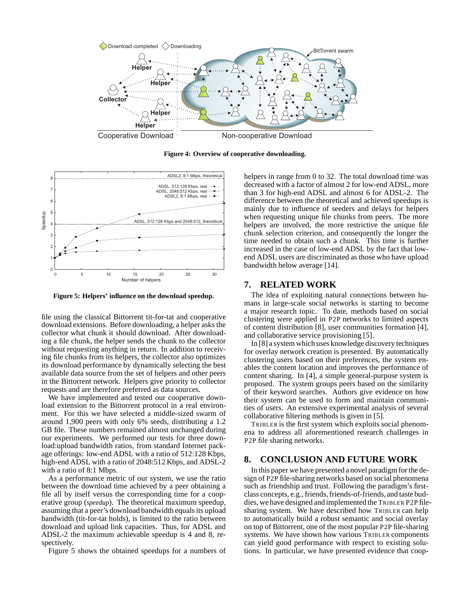

**Figure 4: Overview of cooperative downloading.**



**Figure 5: Helpers' influence on the download speedup.**

file using the classical Bittorrent tit-for-tat and cooperative download extensions. Before downloading, a helper asks the collector what chunk it should download. After downloading a file chunk, the helper sends the chunk to the collector without requesting anything in return. In addition to receiving file chunks from its helpers, the collector also optimizes its download performance by dynamically selecting the best available data source from the set of helpers and other peers in the Bittorrent network. Helpers give priority to collector requests and are therefore preferred as data sources.

We have implemented and tested our cooperative download extension to the Bittorrent protocol in a real environment. For this we have selected a middle-sized swarm of around 1,900 peers with only 6% seeds, distributing a 1.2 GB file. These numbers remained almost unchanged during our experiments. We performed our tests for three download:upload bandwidth ratios, from standard Internet package offerings: low-end ADSL with a ratio of 512:128 Kbps, high-end ADSL with a ratio of 2048:512 Kbps, and ADSL-2 with a ratio of 8:1 Mbps.

As a performance metric of our system, we use the ratio between the download time achieved by a peer obtaining a file all by itself versus the corresponding time for a cooperative group (*speedup*). The theoretical maximum speedup, assuming that a peer's download bandwidth equals its upload bandwidth (tit-for-tat holds), is limited to the ratio between download and upload link capacities. Thus, for ADSL and ADSL-2 the maximum achievable speedup is 4 and 8, respectively.

Figure 5 shows the obtained speedups for a numbers of

helpers in range from 0 to 32. The total download time was decreased with a factor of almost 2 for low-end ADSL, more than 3 for high-end ADSL and almost 6 for ADSL-2. The difference between the theoretical and achieved speedups is mainly due to influence of seeders and delays for helpers when requesting unique file chunks from peers. The more helpers are involved, the more restrictive the unique file chunk selection criterion, and consequently the longer the time needed to obtain such a chunk. This time is further increased in the case of low-end ADSL by the fact that lowend ADSL users are discriminated as those who have upload bandwidth below average [14].

#### **7. RELATED WORK**

The idea of exploiting natural connections between humans in large-scale social networks is starting to become a major research topic. To date, methods based on social clustering were applied in P2P networks to limited aspects of content distribution [8], user communities formation [4], and collaborative service provisioning [5].

In [8] a system which uses knowledge discovery techniques for overlay network creation is presented. By automatically clustering users based on their preferences, the system enables the content location and improves the performance of content sharing. In [4], a simple general-purpose system is proposed. The system groups peers based on the similarity of their keyword searches. Authors give evidence on how their system can be used to form and maintain communities of users. An extensive experimental analysis of several collaborative filtering methods is given in [5].

TRIBLER is the first system which exploits social phenomena to address all aforementioned research challenges in P2P file sharing networks.

## **8. CONCLUSION AND FUTURE WORK**

In this paper we have presented a novel paradigm for the design of P2P file-sharing networks based on social phenomena such as friendship and trust. Following the paradigm's firstclass concepts, e.g., friends, friends-of-friends,and taste buddies, we have designed and implemented the TRIBLER P2P filesharing system. We have described how TRIBLER can help to automatically build a robust semantic and social overlay on top of Bittorrent, one of the most popular P2P file-sharing systems. We have shown how various TRIBLER components can yield good performance with respect to existing solutions. In particular, we have presented evidence that coop